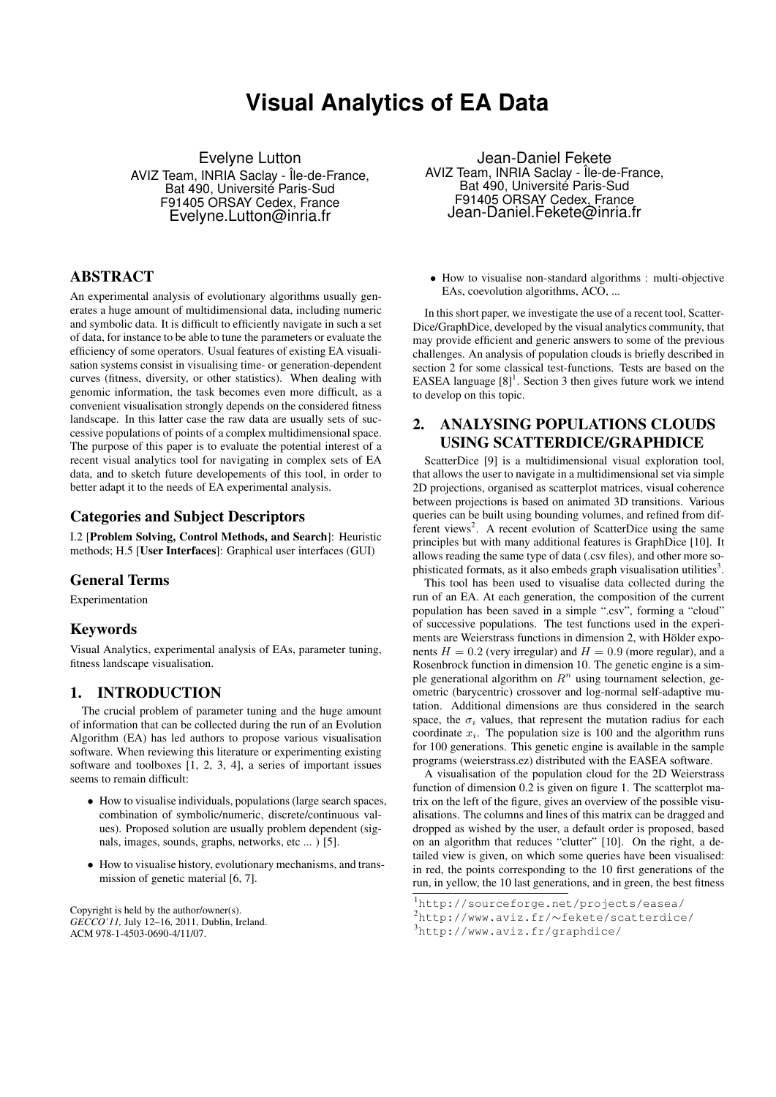# **Visual Analytics of EA Data**

Evelyne Lutton AVIZ Team, INRIA Saclay - Île-de-France, Bat 490, Université Paris-Sud F91405 ORSAY Cedex, France Evelyne.Lutton@inria.fr

### ABSTRACT

An experimental analysis of evolutionary algorithms usually generates a huge amount of multidimensional data, including numeric and symbolic data. It is difficult to efficiently navigate in such a set of data, for instance to be able to tune the parameters or evaluate the efficiency of some operators. Usual features of existing EA visualisation systems consist in visualising time- or generation-dependent curves (fitness, diversity, or other statistics). When dealing with genomic information, the task becomes even more difficult, as a convenient visualisation strongly depends on the considered fitness landscape. In this latter case the raw data are usually sets of successive populations of points of a complex multidimensional space. The purpose of this paper is to evaluate the potential interest of a recent visual analytics tool for navigating in complex sets of EA data, and to sketch future developements of this tool, in order to better adapt it to the needs of EA experimental analysis.

#### Categories and Subject Descriptors

I.2 [Problem Solving, Control Methods, and Search]: Heuristic methods; H.5 [User Interfaces]: Graphical user interfaces (GUI)

#### General Terms

Experimentation

#### Keywords

Visual Analytics, experimental analysis of EAs, parameter tuning, fitness landscape visualisation.

#### 1. INTRODUCTION

The crucial problem of parameter tuning and the huge amount of information that can be collected during the run of an Evolution Algorithm (EA) has led authors to propose various visualisation software. When reviewing this literature or experimenting existing software and toolboxes [1, 2, 3, 4], a series of important issues seems to remain difficult:

- How to visualise individuals, populations (large search spaces, combination of symbolic/numeric, discrete/continuous values). Proposed solution are usually problem dependent (signals, images, sounds, graphs, networks, etc ... ) [5].
- How to visualise history, evolutionary mechanisms, and transmission of genetic material [6, 7].

Copyright is held by the author/owner(s). *GECCO'11,* July 12–16, 2011, Dublin, Ireland. ACM 978-1-4503-0690-4/11/07.

Jean-Daniel Fekete AVIZ Team, INRIA Saclay - Île-de-France, Bat 490, Université Paris-Sud F91405 ORSAY Cedex, France Jean-Daniel.Fekete@inria.fr

• How to visualise non-standard algorithms : multi-objective EAs, coevolution algorithms, ACO, ...

In this short paper, we investigate the use of a recent tool, Scatter-Dice/GraphDice, developed by the visual analytics community, that may provide efficient and generic answers to some of the previous challenges. An analysis of population clouds is briefly described in section 2 for some classical test-functions. Tests are based on the EASEA language  $[8]$ <sup>1</sup>. Section 3 then gives future work we intend to develop on this topic.

## 2. ANALYSING POPULATIONS CLOUDS USING SCATTERDICE/GRAPHDICE

ScatterDice [9] is a multidimensional visual exploration tool, that allows the user to navigate in a multidimensional set via simple 2D projections, organised as scatterplot matrices, visual coherence between projections is based on animated 3D transitions. Various queries can be built using bounding volumes, and refined from different views<sup>2</sup>. A recent evolution of ScatterDice using the same principles but with many additional features is GraphDice [10]. It allows reading the same type of data (.csv files), and other more sophisticated formats, as it also embeds graph visualisation utilities<sup>3</sup>.

This tool has been used to visualise data collected during the run of an EA. At each generation, the composition of the current population has been saved in a simple ".csv", forming a "cloud" of successive populations. The test functions used in the experiments are Weierstrass functions in dimension 2, with Hölder exponents  $H = 0.2$  (very irregular) and  $H = 0.9$  (more regular), and a Rosenbrock function in dimension 10. The genetic engine is a simple generational algorithm on  $R<sup>n</sup>$  using tournament selection, geometric (barycentric) crossover and log-normal self-adaptive mutation. Additional dimensions are thus considered in the search space, the  $\sigma_i$  values, that represent the mutation radius for each coordinate  $x_i$ . The population size is 100 and the algorithm runs for 100 generations. This genetic engine is available in the sample programs (weierstrass.ez) distributed with the EASEA software.

A visualisation of the population cloud for the 2D Weierstrass function of dimension 0.2 is given on figure 1. The scatterplot matrix on the left of the figure, gives an overview of the possible visualisations. The columns and lines of this matrix can be dragged and dropped as wished by the user, a default order is proposed, based on an algorithm that reduces "clutter" [10]. On the right, a detailed view is given, on which some queries have been visualised: in red, the points corresponding to the 10 first generations of the run, in yellow, the 10 last generations, and in green, the best fitness

<sup>1</sup>http://sourceforge.net/projects/easea/

<sup>2</sup>http://www.aviz.fr/∼fekete/scatterdice/

<sup>3</sup>http://www.aviz.fr/graphdice/